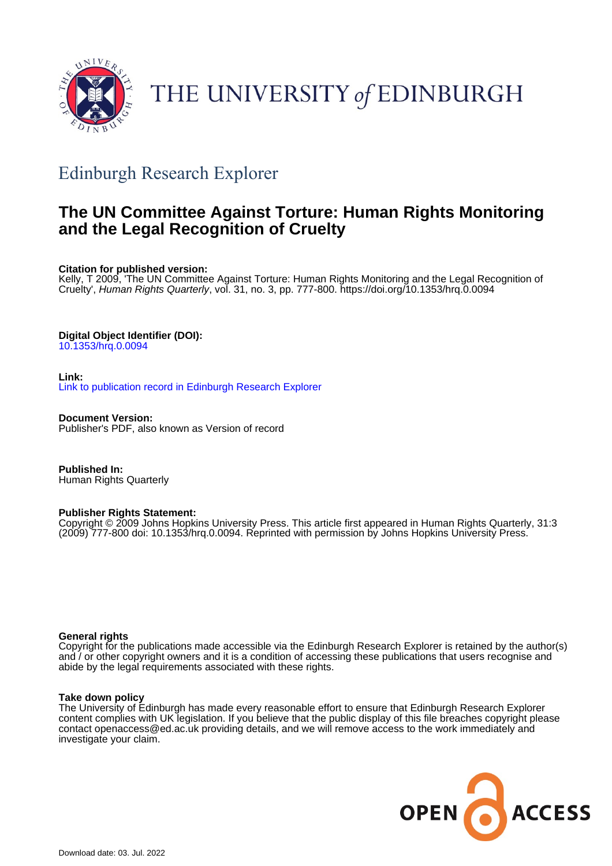

# THE UNIVERSITY of EDINBURGH

## Edinburgh Research Explorer

### **The UN Committee Against Torture: Human Rights Monitoring and the Legal Recognition of Cruelty**

**Citation for published version:**

Kelly, T 2009, 'The UN Committee Against Torture: Human Rights Monitoring and the Legal Recognition of Cruelty', Human Rights Quarterly, vol. 31, no. 3, pp. 777-800. <https://doi.org/10.1353/hrq.0.0094>

#### **Digital Object Identifier (DOI):**

[10.1353/hrq.0.0094](https://doi.org/10.1353/hrq.0.0094)

**Link:** [Link to publication record in Edinburgh Research Explorer](https://www.research.ed.ac.uk/en/publications/3b940ee1-e99f-4ab6-bbb1-37face2fae2c)

**Document Version:** Publisher's PDF, also known as Version of record

**Published In:** Human Rights Quarterly

#### **Publisher Rights Statement:**

Copyright © 2009 Johns Hopkins University Press. This article first appeared in Human Rights Quarterly, 31:3 (2009) 777-800 doi: 10.1353/hrq.0.0094. Reprinted with permission by Johns Hopkins University Press.

#### **General rights**

Copyright for the publications made accessible via the Edinburgh Research Explorer is retained by the author(s) and / or other copyright owners and it is a condition of accessing these publications that users recognise and abide by the legal requirements associated with these rights.

#### **Take down policy**

The University of Edinburgh has made every reasonable effort to ensure that Edinburgh Research Explorer content complies with UK legislation. If you believe that the public display of this file breaches copyright please contact openaccess@ed.ac.uk providing details, and we will remove access to the work immediately and investigate your claim.

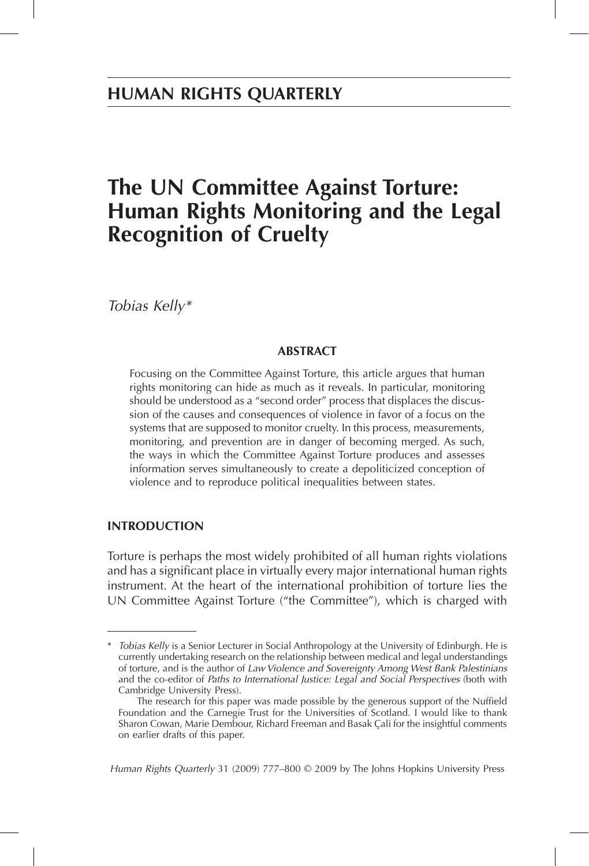### **The UN Committee Against Torture: Human Rights Monitoring and the Legal Recognition of Cruelty**

*Tobias Kelly\**

#### **Abstract**

Focusing on the Committee Against Torture, this article argues that human rights monitoring can hide as much as it reveals. In particular, monitoring should be understood as a "second order" process that displaces the discussion of the causes and consequences of violence in favor of a focus on the systems that are supposed to monitor cruelty. In this process, measurements, monitoring, and prevention are in danger of becoming merged. As such, the ways in which the Committee Against Torture produces and assesses information serves simultaneously to create a depoliticized conception of violence and to reproduce political inequalities between states.

#### **Introduction**

Torture is perhaps the most widely prohibited of all human rights violations and has a significant place in virtually every major international human rights instrument. At the heart of the international prohibition of torture lies the UN Committee Against Torture ("the Committee"), which is charged with

*Human Rights Quarterly* 31 (2009) 777–800 © 2009 by The Johns Hopkins University Press

<sup>\*</sup> *Tobias Kelly* is a Senior Lecturer in Social Anthropology at the University of Edinburgh. He is currently undertaking research on the relationship between medical and legal understandings of torture, and is the author of *Law Violence and Sovereignty Among West Bank Palestinians* and the co-editor of *Paths to International Justice: Legal and Social Perspectives* (both with Cambridge University Press).

The research for this paper was made possible by the generous support of the Nuffield Foundation and the Carnegie Trust for the Universities of Scotland. I would like to thank Sharon Cowan, Marie Dembour, Richard Freeman and Basak Çali for the insightful comments on earlier drafts of this paper.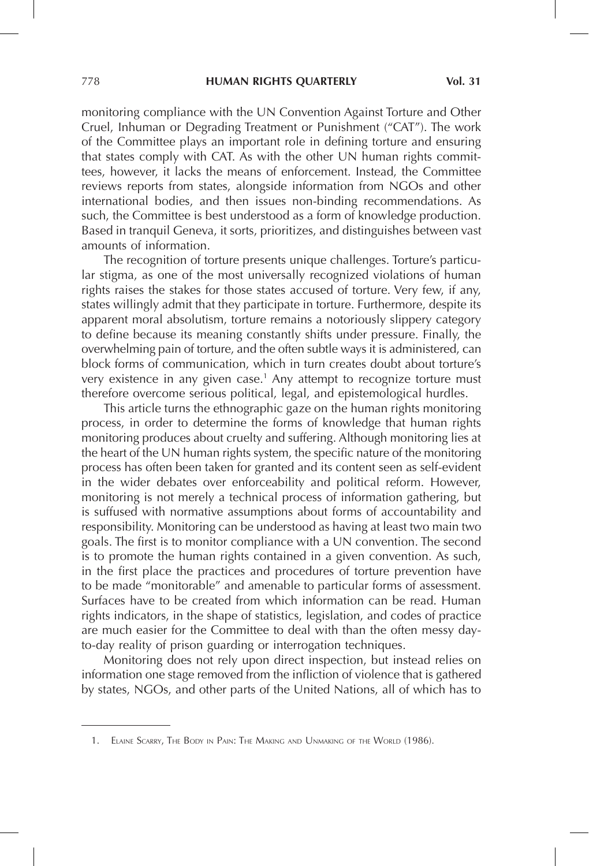monitoring compliance with the UN Convention Against Torture and Other Cruel, Inhuman or Degrading Treatment or Punishment ("CAT"). The work of the Committee plays an important role in defining torture and ensuring that states comply with CAT. As with the other UN human rights committees, however, it lacks the means of enforcement. Instead, the Committee reviews reports from states, alongside information from NGOs and other international bodies, and then issues non-binding recommendations. As such, the Committee is best understood as a form of knowledge production. Based in tranquil Geneva, it sorts, prioritizes, and distinguishes between vast amounts of information.

The recognition of torture presents unique challenges. Torture's particular stigma, as one of the most universally recognized violations of human rights raises the stakes for those states accused of torture. Very few, if any, states willingly admit that they participate in torture. Furthermore, despite its apparent moral absolutism, torture remains a notoriously slippery category to define because its meaning constantly shifts under pressure. Finally, the overwhelming pain of torture, and the often subtle ways it is administered, can block forms of communication, which in turn creates doubt about torture's very existence in any given case.<sup>1</sup> Any attempt to recognize torture must therefore overcome serious political, legal, and epistemological hurdles.

This article turns the ethnographic gaze on the human rights monitoring process, in order to determine the forms of knowledge that human rights monitoring produces about cruelty and suffering. Although monitoring lies at the heart of the UN human rights system, the specific nature of the monitoring process has often been taken for granted and its content seen as self-evident in the wider debates over enforceability and political reform. However, monitoring is not merely a technical process of information gathering, but is suffused with normative assumptions about forms of accountability and responsibility. Monitoring can be understood as having at least two main two goals. The first is to monitor compliance with a UN convention. The second is to promote the human rights contained in a given convention. As such, in the first place the practices and procedures of torture prevention have to be made "monitorable" and amenable to particular forms of assessment. Surfaces have to be created from which information can be read. Human rights indicators, in the shape of statistics, legislation, and codes of practice are much easier for the Committee to deal with than the often messy dayto-day reality of prison guarding or interrogation techniques.

Monitoring does not rely upon direct inspection, but instead relies on information one stage removed from the infliction of violence that is gathered by states, NGOs, and other parts of the United Nations, all of which has to

 <sup>1.</sup> Elaine Scarry, The Body in Pain: The Making and Unmaking of the World (1986).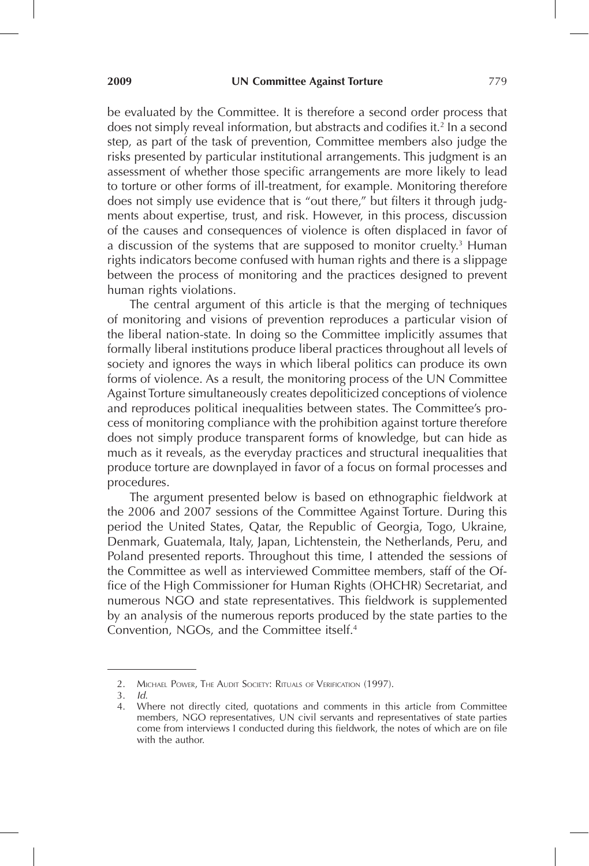be evaluated by the Committee. It is therefore a second order process that does not simply reveal information, but abstracts and codifies it.<sup>2</sup> In a second step, as part of the task of prevention, Committee members also judge the risks presented by particular institutional arrangements. This judgment is an assessment of whether those specific arrangements are more likely to lead to torture or other forms of ill-treatment, for example. Monitoring therefore does not simply use evidence that is "out there," but filters it through judgments about expertise, trust, and risk. However, in this process, discussion of the causes and consequences of violence is often displaced in favor of a discussion of the systems that are supposed to monitor cruelty.<sup>3</sup> Human rights indicators become confused with human rights and there is a slippage between the process of monitoring and the practices designed to prevent human rights violations.

The central argument of this article is that the merging of techniques of monitoring and visions of prevention reproduces a particular vision of the liberal nation-state. In doing so the Committee implicitly assumes that formally liberal institutions produce liberal practices throughout all levels of society and ignores the ways in which liberal politics can produce its own forms of violence. As a result, the monitoring process of the UN Committee Against Torture simultaneously creates depoliticized conceptions of violence and reproduces political inequalities between states. The Committee's process of monitoring compliance with the prohibition against torture therefore does not simply produce transparent forms of knowledge, but can hide as much as it reveals, as the everyday practices and structural inequalities that produce torture are downplayed in favor of a focus on formal processes and procedures.

The argument presented below is based on ethnographic fieldwork at the 2006 and 2007 sessions of the Committee Against Torture. During this period the United States, Qatar, the Republic of Georgia, Togo, Ukraine, Denmark, Guatemala, Italy, Japan, Lichtenstein, the Netherlands, Peru, and Poland presented reports. Throughout this time, I attended the sessions of the Committee as well as interviewed Committee members, staff of the Office of the High Commissioner for Human Rights (OHCHR) Secretariat, and numerous NGO and state representatives. This fieldwork is supplemented by an analysis of the numerous reports produced by the state parties to the Convention, NGOs, and the Committee itself.4

<sup>2.</sup> MICHAEL POWER, THE AUDIT SOCIETY: RITUALS OF VERIFICATION (1997).

 <sup>3.</sup> *Id*.

 <sup>4.</sup> Where not directly cited, quotations and comments in this article from Committee members, NGO representatives, UN civil servants and representatives of state parties come from interviews I conducted during this fieldwork, the notes of which are on file with the author.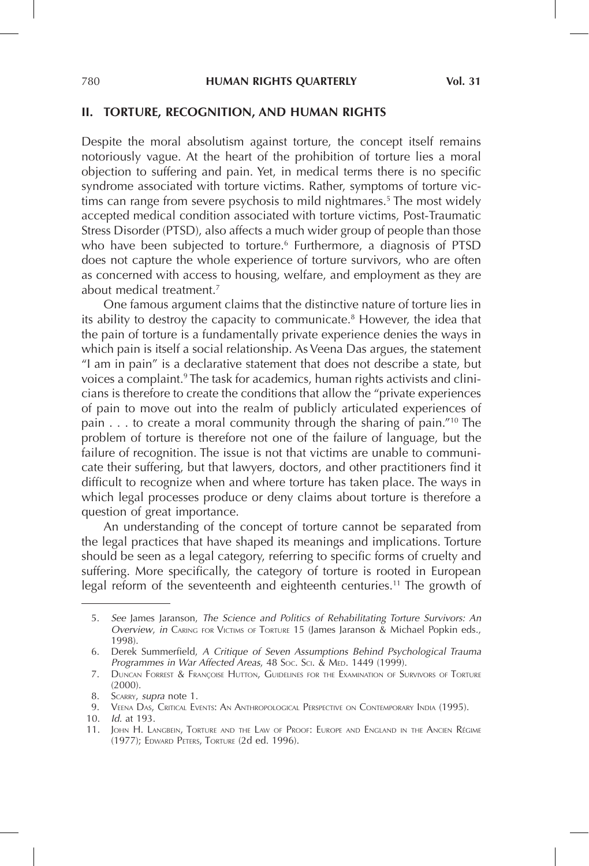#### **ii. Torture, Recognition, and Human Rights**

Despite the moral absolutism against torture, the concept itself remains notoriously vague. At the heart of the prohibition of torture lies a moral objection to suffering and pain. Yet, in medical terms there is no specific syndrome associated with torture victims. Rather, symptoms of torture victims can range from severe psychosis to mild nightmares.<sup>5</sup> The most widely accepted medical condition associated with torture victims, Post-Traumatic Stress Disorder (PTSD), also affects a much wider group of people than those who have been subjected to torture.<sup>6</sup> Furthermore, a diagnosis of PTSD does not capture the whole experience of torture survivors, who are often as concerned with access to housing, welfare, and employment as they are about medical treatment?

One famous argument claims that the distinctive nature of torture lies in its ability to destroy the capacity to communicate.<sup>8</sup> However, the idea that the pain of torture is a fundamentally private experience denies the ways in which pain is itself a social relationship. As Veena Das argues, the statement "I am in pain" is a declarative statement that does not describe a state, but voices a complaint.9 The task for academics, human rights activists and clinicians is therefore to create the conditions that allow the "private experiences of pain to move out into the realm of publicly articulated experiences of pain . . . to create a moral community through the sharing of pain."10 The problem of torture is therefore not one of the failure of language, but the failure of recognition. The issue is not that victims are unable to communicate their suffering, but that lawyers, doctors, and other practitioners find it difficult to recognize when and where torture has taken place. The ways in which legal processes produce or deny claims about torture is therefore a question of great importance.

An understanding of the concept of torture cannot be separated from the legal practices that have shaped its meanings and implications. Torture should be seen as a legal category, referring to specific forms of cruelty and suffering. More specifically, the category of torture is rooted in European legal reform of the seventeenth and eighteenth centuries.<sup>11</sup> The growth of

 <sup>5.</sup> *See* James Jaranson, *The Science and Politics of Rehabilitating Torture Survivors: An Overview*, *in* Caring for Victims of Torture 15 (James Jaranson & Michael Popkin eds., 1998).

 <sup>6.</sup> Derek Summerfield, *A Critique of Seven Assumptions Behind Psychological Trauma*  Programmes in War Affected Areas, 48 Soc. Sci. & MED. 1449 (1999).

 <sup>7.</sup> Duncan Forrest & Françoise Hutton, Guidelines for the Examination of Survivors of Torture (2000).

<sup>8.</sup> SCARRY, *supra* note 1.

 <sup>9.</sup> Veena Das, Critical Events: An Anthropological Perspective on Contemporary India (1995).

<sup>10.</sup> *Id.* at 193.

<sup>11.</sup> John H. Langbein, Torture and the Law of Proof: Europe and England in the Ancien Régime (1977); Edward Peters, Torture (2d ed. 1996).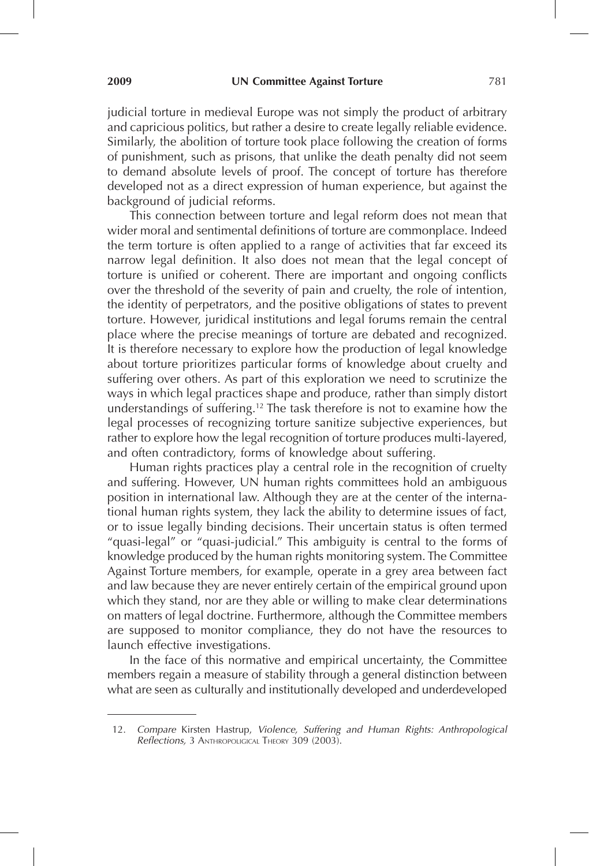judicial torture in medieval Europe was not simply the product of arbitrary and capricious politics, but rather a desire to create legally reliable evidence. Similarly, the abolition of torture took place following the creation of forms of punishment, such as prisons, that unlike the death penalty did not seem to demand absolute levels of proof. The concept of torture has therefore developed not as a direct expression of human experience, but against the background of judicial reforms.

This connection between torture and legal reform does not mean that wider moral and sentimental definitions of torture are commonplace. Indeed the term torture is often applied to a range of activities that far exceed its narrow legal definition. It also does not mean that the legal concept of torture is unified or coherent. There are important and ongoing conflicts over the threshold of the severity of pain and cruelty, the role of intention, the identity of perpetrators, and the positive obligations of states to prevent torture. However, juridical institutions and legal forums remain the central place where the precise meanings of torture are debated and recognized. It is therefore necessary to explore how the production of legal knowledge about torture prioritizes particular forms of knowledge about cruelty and suffering over others. As part of this exploration we need to scrutinize the ways in which legal practices shape and produce, rather than simply distort understandings of suffering.12 The task therefore is not to examine how the legal processes of recognizing torture sanitize subjective experiences, but rather to explore how the legal recognition of torture produces multi-layered, and often contradictory, forms of knowledge about suffering.

Human rights practices play a central role in the recognition of cruelty and suffering. However, UN human rights committees hold an ambiguous position in international law. Although they are at the center of the international human rights system, they lack the ability to determine issues of fact, or to issue legally binding decisions. Their uncertain status is often termed "quasi-legal" or "quasi-judicial." This ambiguity is central to the forms of knowledge produced by the human rights monitoring system. The Committee Against Torture members, for example, operate in a grey area between fact and law because they are never entirely certain of the empirical ground upon which they stand, nor are they able or willing to make clear determinations on matters of legal doctrine. Furthermore, although the Committee members are supposed to monitor compliance, they do not have the resources to launch effective investigations.

In the face of this normative and empirical uncertainty, the Committee members regain a measure of stability through a general distinction between what are seen as culturally and institutionally developed and underdeveloped

<sup>12.</sup> *Compare* Kirsten Hastrup, *Violence, Suffering and Human Rights: Anthropological Reflections,* 3 Anthropoligical Theory 309 (2003).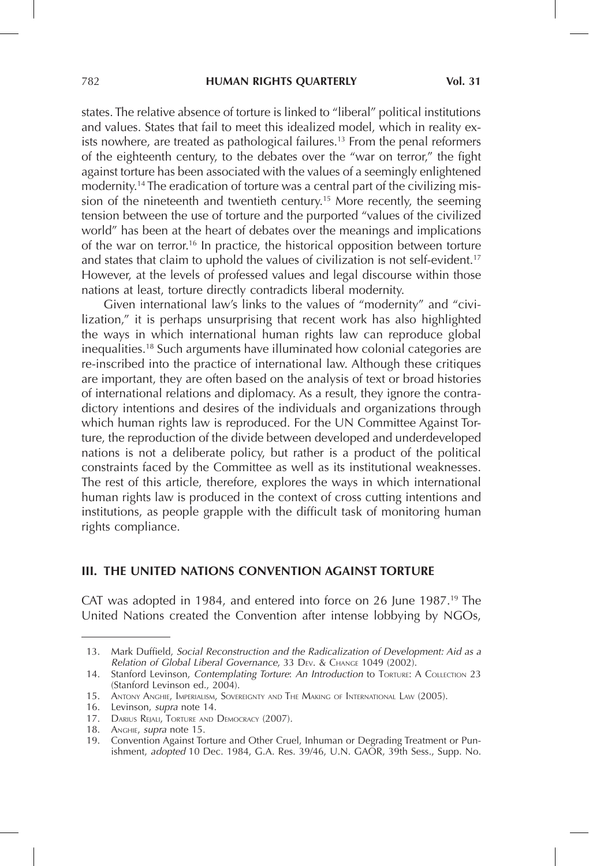states. The relative absence of torture is linked to "liberal" political institutions and values. States that fail to meet this idealized model, which in reality exists nowhere, are treated as pathological failures.<sup>13</sup> From the penal reformers of the eighteenth century, to the debates over the "war on terror," the fight against torture has been associated with the values of a seemingly enlightened modernity.14 The eradication of torture was a central part of the civilizing mission of the nineteenth and twentieth century.<sup>15</sup> More recently, the seeming tension between the use of torture and the purported "values of the civilized world" has been at the heart of debates over the meanings and implications of the war on terror.<sup>16</sup> In practice, the historical opposition between torture and states that claim to uphold the values of civilization is not self-evident.<sup>17</sup> However, at the levels of professed values and legal discourse within those nations at least, torture directly contradicts liberal modernity.

Given international law's links to the values of "modernity" and "civilization," it is perhaps unsurprising that recent work has also highlighted the ways in which international human rights law can reproduce global inequalities.18 Such arguments have illuminated how colonial categories are re-inscribed into the practice of international law. Although these critiques are important, they are often based on the analysis of text or broad histories of international relations and diplomacy. As a result, they ignore the contradictory intentions and desires of the individuals and organizations through which human rights law is reproduced. For the UN Committee Against Torture, the reproduction of the divide between developed and underdeveloped nations is not a deliberate policy, but rather is a product of the political constraints faced by the Committee as well as its institutional weaknesses. The rest of this article, therefore, explores the ways in which international human rights law is produced in the context of cross cutting intentions and institutions, as people grapple with the difficult task of monitoring human rights compliance.

#### **iii. The United Nations Convention Against Torture**

CAT was adopted in 1984, and entered into force on 26 June 1987.19 The United Nations created the Convention after intense lobbying by NGOs,

<sup>13.</sup> Mark Duffield, *Social Reconstruction and the Radicalization of Development: Aid as a Relation of Global Liberal Governance*, 33 Dev. & Change 1049 (2002).

<sup>14.</sup> Stanford Levinson, *Contemplating Torture: An Introduction* to TORTURE: A COLLECTION 23 (Stanford Levinson ed., 2004).

<sup>15.</sup> Antony Anghie, Imperialism, Sovereignty and The Making of International Law (2005).

<sup>16.</sup> Levinson, *supra* note 14.

<sup>17.</sup> Darius Rejali, Torture and Democracy (2007).

<sup>18.</sup> Anghie, *supra* note 15.

<sup>19.</sup> Convention Against Torture and Other Cruel, Inhuman or Degrading Treatment or Punishment, *adopted* 10 Dec. 1984, G.A. Res. 39/46, U.N. GAOR, 39th Sess., Supp. No.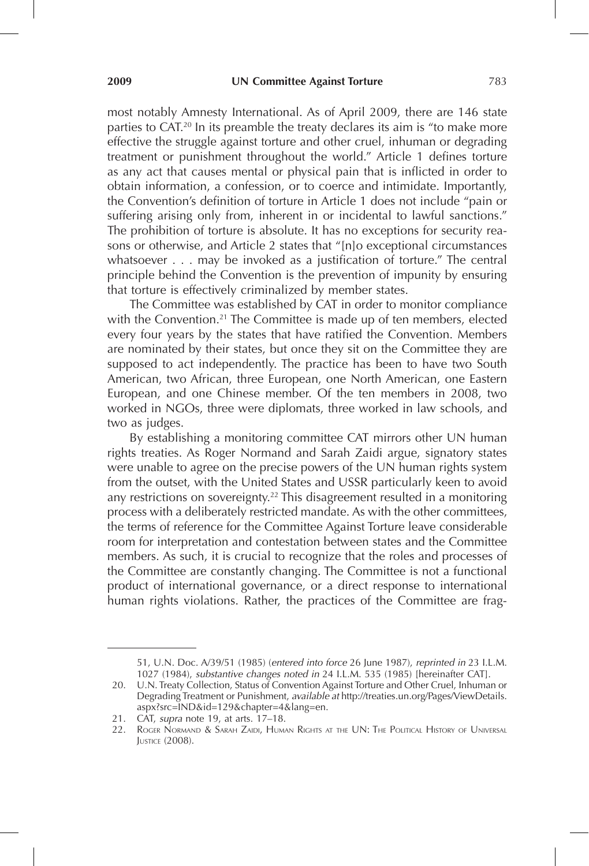most notably Amnesty International. As of April 2009, there are 146 state parties to CAT.20 In its preamble the treaty declares its aim is "to make more effective the struggle against torture and other cruel, inhuman or degrading treatment or punishment throughout the world." Article 1 defines torture as any act that causes mental or physical pain that is inflicted in order to obtain information, a confession, or to coerce and intimidate. Importantly, the Convention's definition of torture in Article 1 does not include "pain or suffering arising only from, inherent in or incidental to lawful sanctions." The prohibition of torture is absolute. It has no exceptions for security reasons or otherwise, and Article 2 states that "[n]o exceptional circumstances whatsoever . . . may be invoked as a justification of torture." The central principle behind the Convention is the prevention of impunity by ensuring that torture is effectively criminalized by member states.

The Committee was established by CAT in order to monitor compliance with the Convention.<sup>21</sup> The Committee is made up of ten members, elected every four years by the states that have ratified the Convention. Members are nominated by their states, but once they sit on the Committee they are supposed to act independently. The practice has been to have two South American, two African, three European, one North American, one Eastern European, and one Chinese member. Of the ten members in 2008, two worked in NGOs, three were diplomats, three worked in law schools, and two as judges.

By establishing a monitoring committee CAT mirrors other UN human rights treaties. As Roger Normand and Sarah Zaidi argue, signatory states were unable to agree on the precise powers of the UN human rights system from the outset, with the United States and USSR particularly keen to avoid any restrictions on sovereignty.<sup>22</sup> This disagreement resulted in a monitoring process with a deliberately restricted mandate. As with the other committees, the terms of reference for the Committee Against Torture leave considerable room for interpretation and contestation between states and the Committee members. As such, it is crucial to recognize that the roles and processes of the Committee are constantly changing. The Committee is not a functional product of international governance, or a direct response to international human rights violations. Rather, the practices of the Committee are frag-

 <sup>51,</sup> U.N. Doc. A/39/51 (1985) (*entered into force* 26 June 1987), *reprinted in* 23 I.L.M. 1027 (1984), *substantive changes noted in* 24 I.L.M. 535 (1985) [hereinafter CAT].

<sup>20.</sup> U.N. Treaty Collection, Status of Convention Against Torture and Other Cruel, Inhuman or Degrading Treatment or Punishment, *available at* http://treaties.un.org/Pages/ViewDetails. aspx?src=IND&id=129&chapter=4&lang=en.

<sup>21.</sup> CAT, *supra* note 19, at arts. 17–18.

<sup>22.</sup> Roger Normand & Sarah Zaidi, Human Rights at the UN: The Political History of Universal Justice (2008).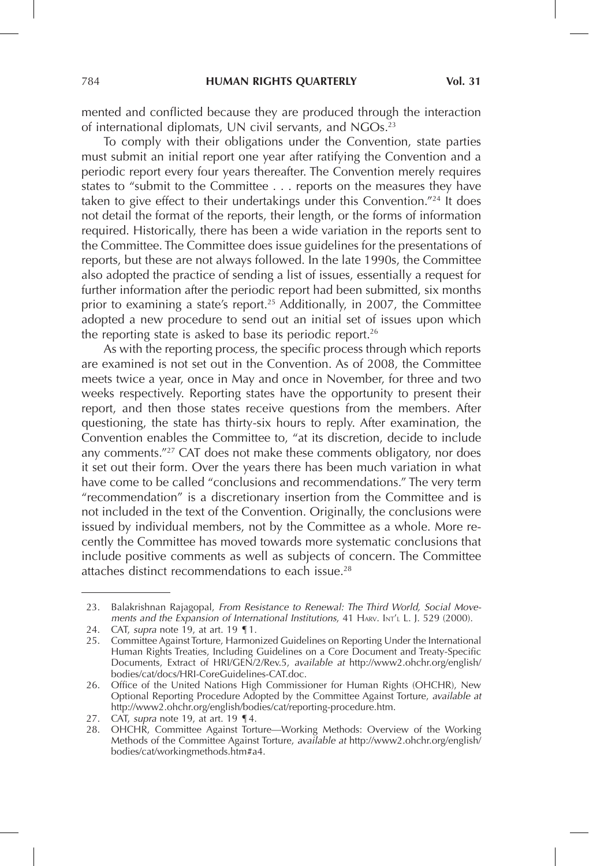mented and conflicted because they are produced through the interaction of international diplomats, UN civil servants, and NGOs.<sup>23</sup>

To comply with their obligations under the Convention, state parties must submit an initial report one year after ratifying the Convention and a periodic report every four years thereafter. The Convention merely requires states to "submit to the Committee . . . reports on the measures they have taken to give effect to their undertakings under this Convention."<sup>24</sup> It does not detail the format of the reports, their length, or the forms of information required. Historically, there has been a wide variation in the reports sent to the Committee. The Committee does issue guidelines for the presentations of reports, but these are not always followed. In the late 1990s, the Committee also adopted the practice of sending a list of issues, essentially a request for further information after the periodic report had been submitted, six months prior to examining a state's report.25 Additionally, in 2007, the Committee adopted a new procedure to send out an initial set of issues upon which the reporting state is asked to base its periodic report.26

As with the reporting process, the specific process through which reports are examined is not set out in the Convention. As of 2008, the Committee meets twice a year, once in May and once in November, for three and two weeks respectively. Reporting states have the opportunity to present their report, and then those states receive questions from the members. After questioning, the state has thirty-six hours to reply. After examination, the Convention enables the Committee to, "at its discretion, decide to include any comments."27 CAT does not make these comments obligatory, nor does it set out their form. Over the years there has been much variation in what have come to be called "conclusions and recommendations." The very term "recommendation" is a discretionary insertion from the Committee and is not included in the text of the Convention. Originally, the conclusions were issued by individual members, not by the Committee as a whole. More recently the Committee has moved towards more systematic conclusions that include positive comments as well as subjects of concern. The Committee attaches distinct recommendations to each issue.28

<sup>23.</sup> Balakrishnan Rajagopal, *From Resistance to Renewal: The Third World, Social Movements and the Expansion of International Institutions*, 41 HARV. INT'L L. J. 529 (2000).

<sup>24.</sup> CAT, *supra* note 19, at art. 19 ¶1.

<sup>25.</sup> Committee Against Torture, Harmonized Guidelines on Reporting Under the International Human Rights Treaties, Including Guidelines on a Core Document and Treaty-Specific Documents, Extract of HRI/GEN/2/Rev.5, *available at* http://www2.ohchr.org/english/ bodies/cat/docs/HRI-CoreGuidelines-CAT.doc.

<sup>26.</sup> Office of the United Nations High Commissioner for Human Rights (OHCHR), New Optional Reporting Procedure Adopted by the Committee Against Torture, *available at* http://www2.ohchr.org/english/bodies/cat/reporting-procedure.htm.

<sup>27.</sup> CAT, *supra* note 19, at art. 19 ¶4.

<sup>28.</sup> OHCHR, Committee Against Torture—Working Methods: Overview of the Working Methods of the Committee Against Torture, *available at* http://www2.ohchr.org/english/ bodies/cat/workingmethods.htm#a4.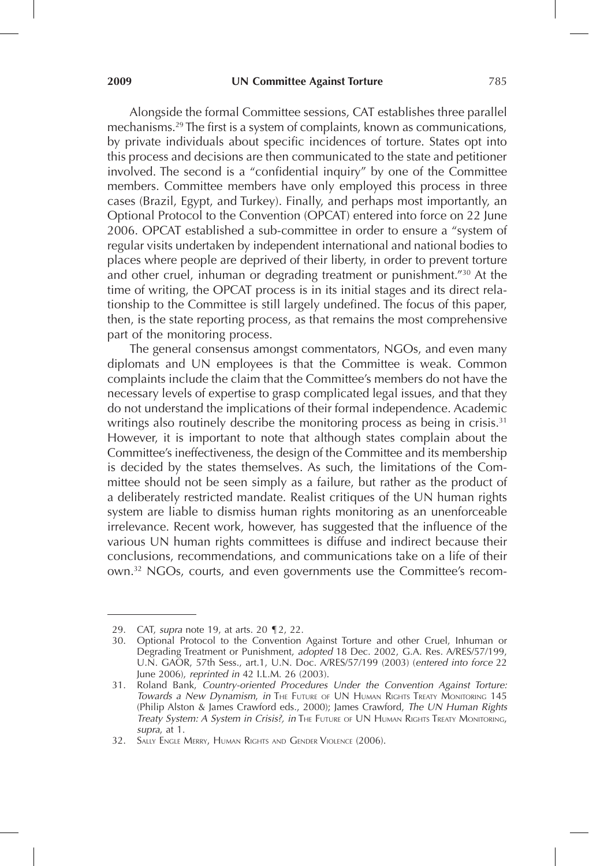Alongside the formal Committee sessions, CAT establishes three parallel mechanisms.29 The first is a system of complaints, known as communications, by private individuals about specific incidences of torture. States opt into this process and decisions are then communicated to the state and petitioner involved. The second is a "confidential inquiry" by one of the Committee members. Committee members have only employed this process in three cases (Brazil, Egypt, and Turkey). Finally, and perhaps most importantly, an Optional Protocol to the Convention (OPCAT) entered into force on 22 June 2006. OPCAT established a sub-committee in order to ensure a "system of regular visits undertaken by independent international and national bodies to places where people are deprived of their liberty, in order to prevent torture and other cruel, inhuman or degrading treatment or punishment."30 At the time of writing, the OPCAT process is in its initial stages and its direct relationship to the Committee is still largely undefined. The focus of this paper, then, is the state reporting process, as that remains the most comprehensive part of the monitoring process.

The general consensus amongst commentators, NGOs, and even many diplomats and UN employees is that the Committee is weak. Common complaints include the claim that the Committee's members do not have the necessary levels of expertise to grasp complicated legal issues, and that they do not understand the implications of their formal independence. Academic writings also routinely describe the monitoring process as being in crisis.<sup>31</sup> However, it is important to note that although states complain about the Committee's ineffectiveness, the design of the Committee and its membership is decided by the states themselves. As such, the limitations of the Committee should not be seen simply as a failure, but rather as the product of a deliberately restricted mandate. Realist critiques of the UN human rights system are liable to dismiss human rights monitoring as an unenforceable irrelevance. Recent work, however, has suggested that the influence of the various UN human rights committees is diffuse and indirect because their conclusions, recommendations, and communications take on a life of their own.32 NGOs, courts, and even governments use the Committee's recom-

<sup>29.</sup> CAT, *supra* note 19, at arts. 20 ¶2, 22.

<sup>30.</sup> Optional Protocol to the Convention Against Torture and other Cruel, Inhuman or Degrading Treatment or Punishment, *adopted* 18 Dec. 2002, G.A. Res. A/RES/57/199, U.N. GAOR, 57th Sess., art.1, U.N. Doc. A/RES/57/199 (2003) (*entered into force* 22 June 2006), *reprinted in* 42 I.L.M. 26 (2003).

<sup>31.</sup> Roland Bank, *Country-oriented Procedures Under the Convention Against Torture: Towards a New Dynamism*, *in* The Future of UN Human Rights Treaty Monitoring 145 (Philip Alston & James Crawford eds., 2000); James Crawford, *The UN Human Rights Treaty System: A System in Crisis?, in* The Future of UN Human Rights Treaty Monitoring, *supra*, at 1.

<sup>32.</sup> Sally Engle Merry, Human Rights and Gender Violence (2006).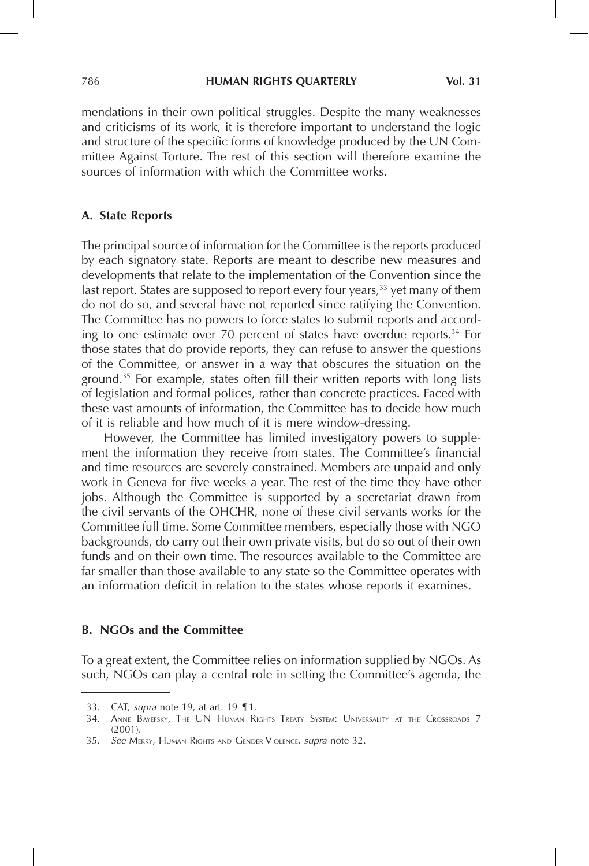mendations in their own political struggles. Despite the many weaknesses and criticisms of its work, it is therefore important to understand the logic and structure of the specific forms of knowledge produced by the UN Committee Against Torture. The rest of this section will therefore examine the sources of information with which the Committee works.

#### **A. State Reports**

The principal source of information for the Committee is the reports produced by each signatory state. Reports are meant to describe new measures and developments that relate to the implementation of the Convention since the last report. States are supposed to report every four years,<sup>33</sup> yet many of them do not do so, and several have not reported since ratifying the Convention. The Committee has no powers to force states to submit reports and according to one estimate over 70 percent of states have overdue reports.<sup>34</sup> For those states that do provide reports, they can refuse to answer the questions of the Committee, or answer in a way that obscures the situation on the ground.35 For example, states often fill their written reports with long lists of legislation and formal polices, rather than concrete practices. Faced with these vast amounts of information, the Committee has to decide how much of it is reliable and how much of it is mere window-dressing.

However, the Committee has limited investigatory powers to supplement the information they receive from states. The Committee's financial and time resources are severely constrained. Members are unpaid and only work in Geneva for five weeks a year. The rest of the time they have other jobs. Although the Committee is supported by a secretariat drawn from the civil servants of the OHCHR, none of these civil servants works for the Committee full time. Some Committee members, especially those with NGO backgrounds, do carry out their own private visits, but do so out of their own funds and on their own time. The resources available to the Committee are far smaller than those available to any state so the Committee operates with an information deficit in relation to the states whose reports it examines.

#### **B. NGOs and the Committee**

To a great extent, the Committee relies on information supplied by NGOs. As such, NGOs can play a central role in setting the Committee's agenda, the

<sup>33.</sup> CAT, *supra* note 19, at art. 19 ¶1.

<sup>34.</sup> ANNE BAYEFSKY, THE UN HUMAN RIGHTS TREATY SYSTEM: UNIVERSALITY AT THE CROSSROADS 7 (2001).

<sup>35.</sup> *See* Merry, Human Rights and Gender Violence, *supra* note 32.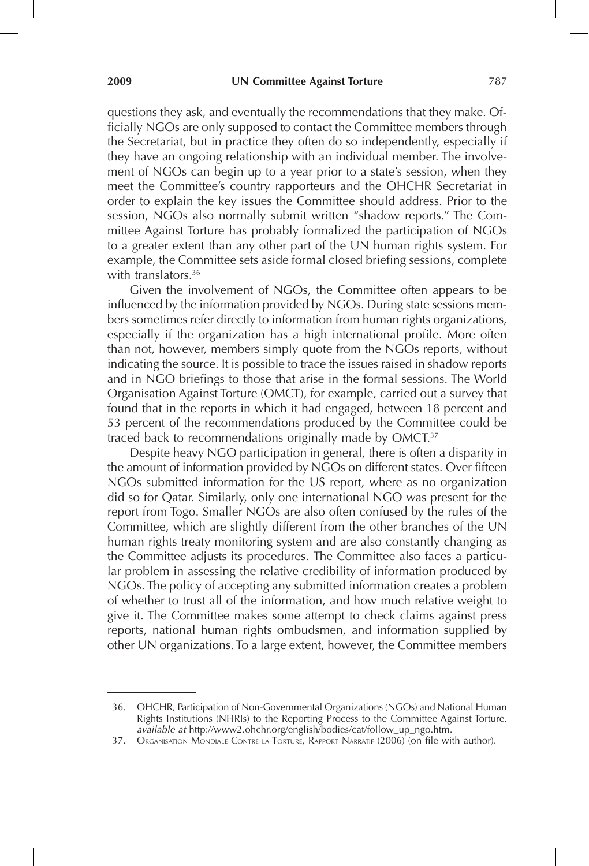questions they ask, and eventually the recommendations that they make. Officially NGOs are only supposed to contact the Committee members through the Secretariat, but in practice they often do so independently, especially if they have an ongoing relationship with an individual member. The involvement of NGOs can begin up to a year prior to a state's session, when they meet the Committee's country rapporteurs and the OHCHR Secretariat in order to explain the key issues the Committee should address. Prior to the session, NGOs also normally submit written "shadow reports." The Committee Against Torture has probably formalized the participation of NGOs to a greater extent than any other part of the UN human rights system. For example, the Committee sets aside formal closed briefing sessions, complete with translators.<sup>36</sup>

Given the involvement of NGOs, the Committee often appears to be influenced by the information provided by NGOs. During state sessions members sometimes refer directly to information from human rights organizations, especially if the organization has a high international profile. More often than not, however, members simply quote from the NGOs reports, without indicating the source. It is possible to trace the issues raised in shadow reports and in NGO briefings to those that arise in the formal sessions. The World Organisation Against Torture (OMCT), for example, carried out a survey that found that in the reports in which it had engaged, between 18 percent and 53 percent of the recommendations produced by the Committee could be traced back to recommendations originally made by OMCT.<sup>37</sup>

Despite heavy NGO participation in general, there is often a disparity in the amount of information provided by NGOs on different states. Over fifteen NGOs submitted information for the US report, where as no organization did so for Qatar. Similarly, only one international NGO was present for the report from Togo. Smaller NGOs are also often confused by the rules of the Committee, which are slightly different from the other branches of the UN human rights treaty monitoring system and are also constantly changing as the Committee adjusts its procedures. The Committee also faces a particular problem in assessing the relative credibility of information produced by NGOs. The policy of accepting any submitted information creates a problem of whether to trust all of the information, and how much relative weight to give it. The Committee makes some attempt to check claims against press reports, national human rights ombudsmen, and information supplied by other UN organizations. To a large extent, however, the Committee members

<sup>36.</sup> OHCHR, Participation of Non-Governmental Organizations (NGOs) and National Human Rights Institutions (NHRIs) to the Reporting Process to the Committee Against Torture, *available at* http://www2.ohchr.org/english/bodies/cat/follow\_up\_ngo.htm.

<sup>37.</sup> ORGANISATION MONDIALE CONTRE LA TORTURE, RAPPORT NARRATIF (2006) (on file with author).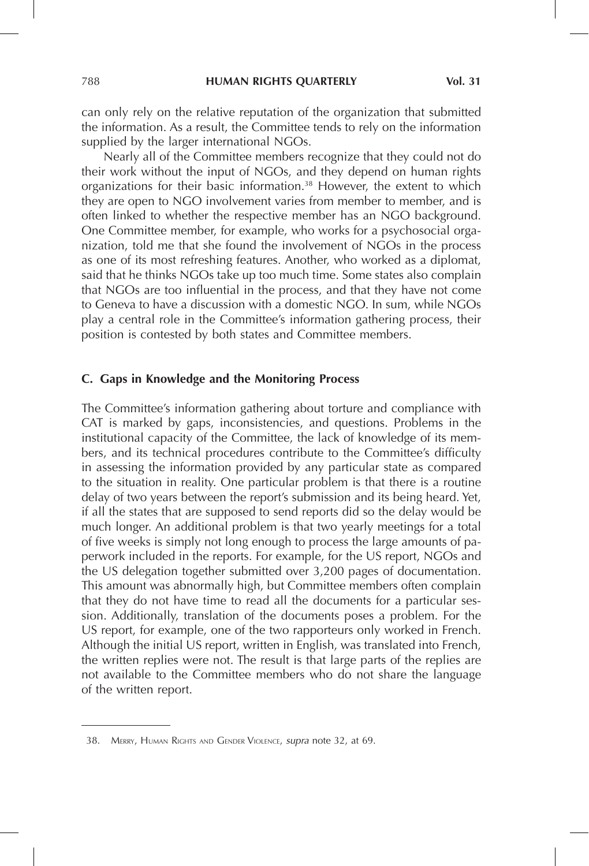can only rely on the relative reputation of the organization that submitted the information. As a result, the Committee tends to rely on the information supplied by the larger international NGOs.

Nearly all of the Committee members recognize that they could not do their work without the input of NGOs, and they depend on human rights organizations for their basic information.38 However, the extent to which they are open to NGO involvement varies from member to member, and is often linked to whether the respective member has an NGO background. One Committee member, for example, who works for a psychosocial organization, told me that she found the involvement of NGOs in the process as one of its most refreshing features. Another, who worked as a diplomat, said that he thinks NGOs take up too much time. Some states also complain that NGOs are too influential in the process, and that they have not come to Geneva to have a discussion with a domestic NGO. In sum, while NGOs play a central role in the Committee's information gathering process, their position is contested by both states and Committee members.

#### **C. Gaps in Knowledge and the Monitoring Process**

The Committee's information gathering about torture and compliance with CAT is marked by gaps, inconsistencies, and questions. Problems in the institutional capacity of the Committee, the lack of knowledge of its members, and its technical procedures contribute to the Committee's difficulty in assessing the information provided by any particular state as compared to the situation in reality. One particular problem is that there is a routine delay of two years between the report's submission and its being heard. Yet, if all the states that are supposed to send reports did so the delay would be much longer. An additional problem is that two yearly meetings for a total of five weeks is simply not long enough to process the large amounts of paperwork included in the reports. For example, for the US report, NGOs and the US delegation together submitted over 3,200 pages of documentation. This amount was abnormally high, but Committee members often complain that they do not have time to read all the documents for a particular session. Additionally, translation of the documents poses a problem. For the US report, for example, one of the two rapporteurs only worked in French. Although the initial US report, written in English, was translated into French, the written replies were not. The result is that large parts of the replies are not available to the Committee members who do not share the language of the written report.

<sup>38.</sup> Merry, Human Rights and Gender Violence, *supra* note 32, at 69.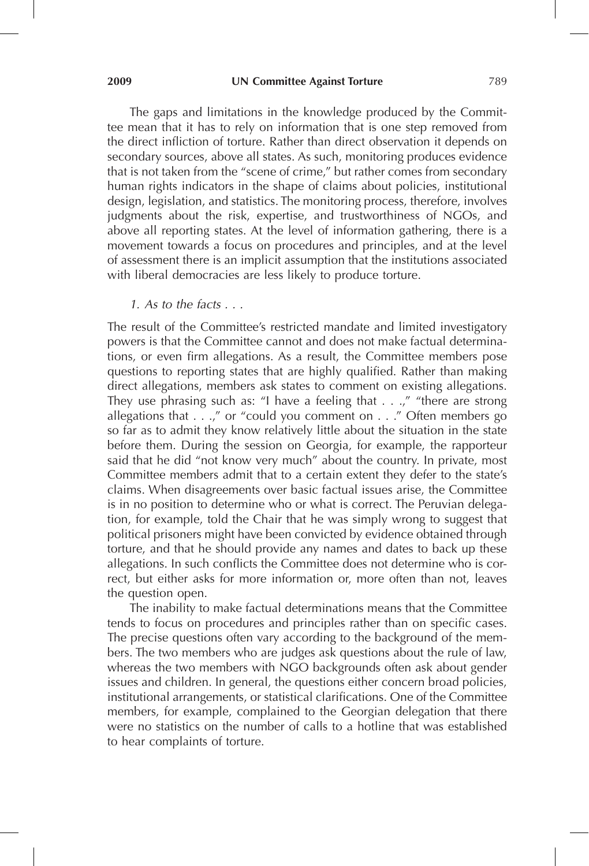#### **2009 UN Committee Against Torture** 789

The gaps and limitations in the knowledge produced by the Committee mean that it has to rely on information that is one step removed from the direct infliction of torture. Rather than direct observation it depends on secondary sources, above all states. As such, monitoring produces evidence that is not taken from the "scene of crime," but rather comes from secondary human rights indicators in the shape of claims about policies, institutional design, legislation, and statistics. The monitoring process, therefore, involves judgments about the risk, expertise, and trustworthiness of NGOs, and above all reporting states. At the level of information gathering, there is a movement towards a focus on procedures and principles, and at the level of assessment there is an implicit assumption that the institutions associated with liberal democracies are less likely to produce torture.

*1. As to the facts . . .*

The result of the Committee's restricted mandate and limited investigatory powers is that the Committee cannot and does not make factual determinations, or even firm allegations. As a result, the Committee members pose questions to reporting states that are highly qualified. Rather than making direct allegations, members ask states to comment on existing allegations. They use phrasing such as: "I have a feeling that . . .," "there are strong allegations that . . .," or "could you comment on . . ." Often members go so far as to admit they know relatively little about the situation in the state before them. During the session on Georgia, for example, the rapporteur said that he did "not know very much" about the country. In private, most Committee members admit that to a certain extent they defer to the state's claims. When disagreements over basic factual issues arise, the Committee is in no position to determine who or what is correct. The Peruvian delegation, for example, told the Chair that he was simply wrong to suggest that political prisoners might have been convicted by evidence obtained through torture, and that he should provide any names and dates to back up these allegations. In such conflicts the Committee does not determine who is correct, but either asks for more information or, more often than not, leaves the question open.

The inability to make factual determinations means that the Committee tends to focus on procedures and principles rather than on specific cases. The precise questions often vary according to the background of the members. The two members who are judges ask questions about the rule of law, whereas the two members with NGO backgrounds often ask about gender issues and children. In general, the questions either concern broad policies, institutional arrangements, or statistical clarifications. One of the Committee members, for example, complained to the Georgian delegation that there were no statistics on the number of calls to a hotline that was established to hear complaints of torture.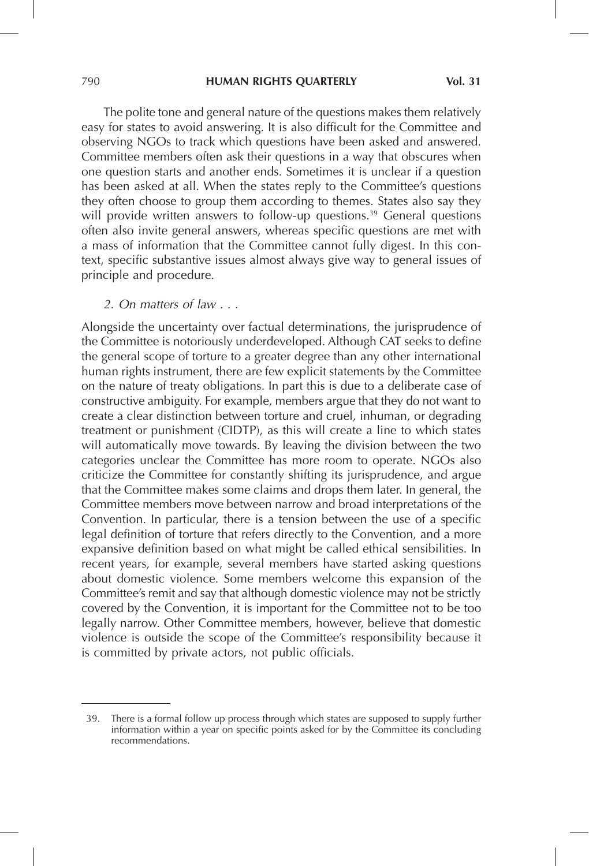The polite tone and general nature of the questions makes them relatively easy for states to avoid answering. It is also difficult for the Committee and observing NGOs to track which questions have been asked and answered. Committee members often ask their questions in a way that obscures when one question starts and another ends. Sometimes it is unclear if a question has been asked at all. When the states reply to the Committee's questions they often choose to group them according to themes. States also say they will provide written answers to follow-up questions.<sup>39</sup> General questions often also invite general answers, whereas specific questions are met with a mass of information that the Committee cannot fully digest. In this context, specific substantive issues almost always give way to general issues of principle and procedure.

#### *2. On matters of law . . .*

Alongside the uncertainty over factual determinations, the jurisprudence of the Committee is notoriously underdeveloped. Although CAT seeks to define the general scope of torture to a greater degree than any other international human rights instrument, there are few explicit statements by the Committee on the nature of treaty obligations. In part this is due to a deliberate case of constructive ambiguity. For example, members argue that they do not want to create a clear distinction between torture and cruel, inhuman, or degrading treatment or punishment (CIDTP), as this will create a line to which states will automatically move towards. By leaving the division between the two categories unclear the Committee has more room to operate. NGOs also criticize the Committee for constantly shifting its jurisprudence, and argue that the Committee makes some claims and drops them later. In general, the Committee members move between narrow and broad interpretations of the Convention. In particular, there is a tension between the use of a specific legal definition of torture that refers directly to the Convention, and a more expansive definition based on what might be called ethical sensibilities. In recent years, for example, several members have started asking questions about domestic violence. Some members welcome this expansion of the Committee's remit and say that although domestic violence may not be strictly covered by the Convention, it is important for the Committee not to be too legally narrow. Other Committee members, however, believe that domestic violence is outside the scope of the Committee's responsibility because it is committed by private actors, not public officials.

<sup>39.</sup> There is a formal follow up process through which states are supposed to supply further information within a year on specific points asked for by the Committee its concluding recommendations.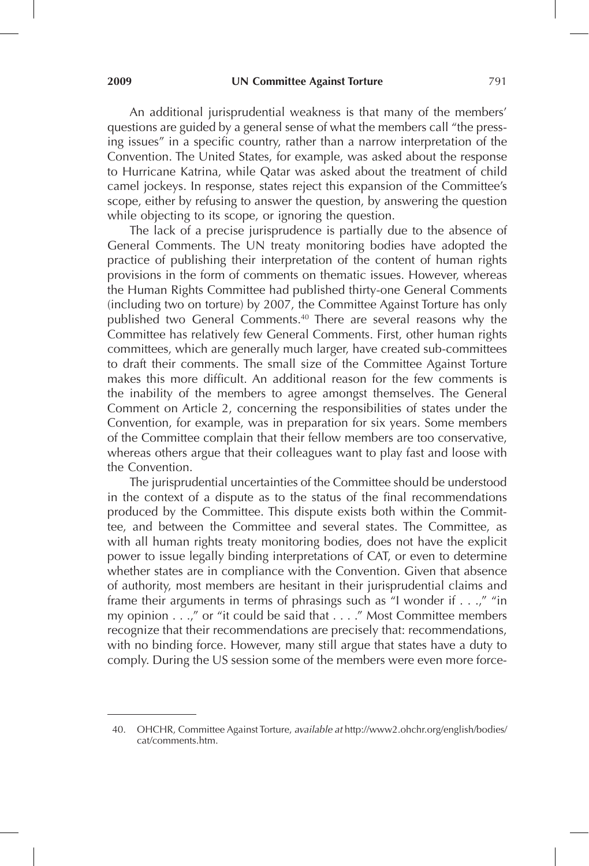An additional jurisprudential weakness is that many of the members' questions are guided by a general sense of what the members call "the pressing issues" in a specific country, rather than a narrow interpretation of the Convention. The United States, for example, was asked about the response to Hurricane Katrina, while Qatar was asked about the treatment of child camel jockeys. In response, states reject this expansion of the Committee's scope, either by refusing to answer the question, by answering the question while objecting to its scope, or ignoring the question.

The lack of a precise jurisprudence is partially due to the absence of General Comments. The UN treaty monitoring bodies have adopted the practice of publishing their interpretation of the content of human rights provisions in the form of comments on thematic issues. However, whereas the Human Rights Committee had published thirty-one General Comments (including two on torture) by 2007, the Committee Against Torture has only published two General Comments.40 There are several reasons why the Committee has relatively few General Comments. First, other human rights committees, which are generally much larger, have created sub-committees to draft their comments. The small size of the Committee Against Torture makes this more difficult. An additional reason for the few comments is the inability of the members to agree amongst themselves. The General Comment on Article 2, concerning the responsibilities of states under the Convention, for example, was in preparation for six years. Some members of the Committee complain that their fellow members are too conservative, whereas others argue that their colleagues want to play fast and loose with the Convention.

The jurisprudential uncertainties of the Committee should be understood in the context of a dispute as to the status of the final recommendations produced by the Committee. This dispute exists both within the Committee, and between the Committee and several states. The Committee, as with all human rights treaty monitoring bodies, does not have the explicit power to issue legally binding interpretations of CAT, or even to determine whether states are in compliance with the Convention. Given that absence of authority, most members are hesitant in their jurisprudential claims and frame their arguments in terms of phrasings such as "I wonder if . . .," "in my opinion . . .," or "it could be said that . . . ." Most Committee members recognize that their recommendations are precisely that: recommendations, with no binding force. However, many still argue that states have a duty to comply. During the US session some of the members were even more force-

<sup>40.</sup> OHCHR, Committee Against Torture, *available at* http://www2.ohchr.org/english/bodies/ cat/comments.htm.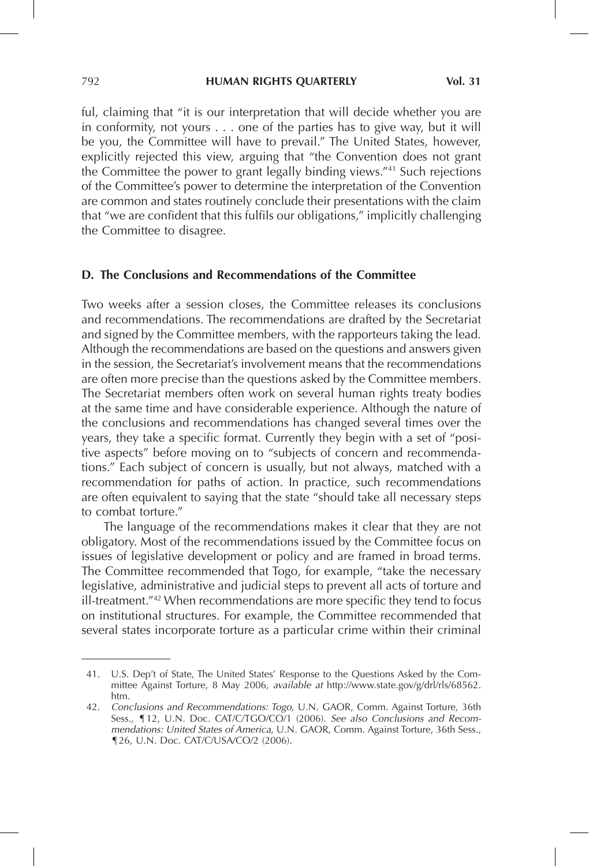792 **HUMAN RIGHTS QUARTERLY Vol. 31**

ful, claiming that "it is our interpretation that will decide whether you are in conformity, not yours . . . one of the parties has to give way, but it will be you, the Committee will have to prevail." The United States, however, explicitly rejected this view, arguing that "the Convention does not grant the Committee the power to grant legally binding views."41 Such rejections of the Committee's power to determine the interpretation of the Convention are common and states routinely conclude their presentations with the claim that "we are confident that this fulfils our obligations," implicitly challenging the Committee to disagree.

#### **D. The Conclusions and Recommendations of the Committee**

Two weeks after a session closes, the Committee releases its conclusions and recommendations. The recommendations are drafted by the Secretariat and signed by the Committee members, with the rapporteurs taking the lead. Although the recommendations are based on the questions and answers given in the session, the Secretariat's involvement means that the recommendations are often more precise than the questions asked by the Committee members. The Secretariat members often work on several human rights treaty bodies at the same time and have considerable experience. Although the nature of the conclusions and recommendations has changed several times over the years, they take a specific format. Currently they begin with a set of "positive aspects" before moving on to "subjects of concern and recommendations." Each subject of concern is usually, but not always, matched with a recommendation for paths of action. In practice, such recommendations are often equivalent to saying that the state "should take all necessary steps to combat torture."

The language of the recommendations makes it clear that they are not obligatory. Most of the recommendations issued by the Committee focus on issues of legislative development or policy and are framed in broad terms. The Committee recommended that Togo, for example, "take the necessary legislative, administrative and judicial steps to prevent all acts of torture and ill-treatment."42 When recommendations are more specific they tend to focus on institutional structures. For example, the Committee recommended that several states incorporate torture as a particular crime within their criminal

<sup>41.</sup> U.S. Dep't of State, The United States' Response to the Questions Asked by the Committee Against Torture, 8 May 2006, *available at* http://www.state.gov/g/drl/rls/68562. htm.

<sup>42.</sup> *Conclusions and Recommendations: Togo*, U.N. GAOR, Comm. Against Torture, 36th Sess., ¶12, U.N. Doc. CAT/C/TGO/CO/1 (2006). *See also Conclusions and Recommendations: United States of America*, U.N. GAOR, Comm. Against Torture, 36th Sess., ¶26, U.N. Doc. CAT/C/USA/CO/2 (2006).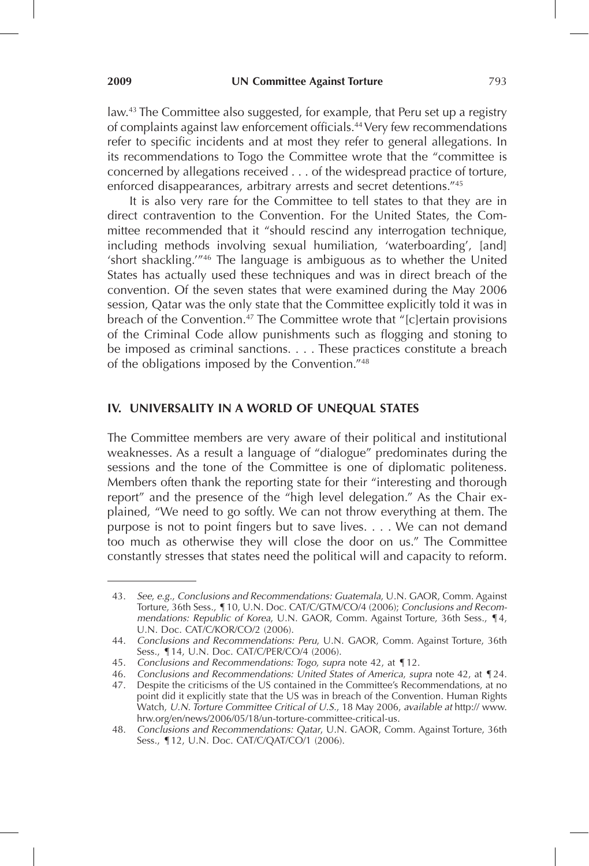law.43 The Committee also suggested, for example, that Peru set up a registry of complaints against law enforcement officials.44 Very few recommendations refer to specific incidents and at most they refer to general allegations. In its recommendations to Togo the Committee wrote that the "committee is concerned by allegations received . . . of the widespread practice of torture, enforced disappearances, arbitrary arrests and secret detentions."45

It is also very rare for the Committee to tell states to that they are in direct contravention to the Convention. For the United States, the Committee recommended that it "should rescind any interrogation technique, including methods involving sexual humiliation, 'waterboarding', [and] 'short shackling.'"46 The language is ambiguous as to whether the United States has actually used these techniques and was in direct breach of the convention. Of the seven states that were examined during the May 2006 session, Qatar was the only state that the Committee explicitly told it was in breach of the Convention.<sup>47</sup> The Committee wrote that  $\sqrt[n]{c}$  ertain provisions of the Criminal Code allow punishments such as flogging and stoning to be imposed as criminal sanctions. . . . These practices constitute a breach of the obligations imposed by the Convention."48

#### **iv. Universality in a World of Unequal States**

The Committee members are very aware of their political and institutional weaknesses. As a result a language of "dialogue" predominates during the sessions and the tone of the Committee is one of diplomatic politeness. Members often thank the reporting state for their "interesting and thorough report" and the presence of the "high level delegation." As the Chair explained, "We need to go softly. We can not throw everything at them. The purpose is not to point fingers but to save lives. . . . We can not demand too much as otherwise they will close the door on us." The Committee constantly stresses that states need the political will and capacity to reform.

<sup>43.</sup> *See*, *e.g.*, *Conclusions and Recommendations: Guatemala*, U.N. GAOR, Comm. Against Torture, 36th Sess., ¶10, U.N. Doc. CAT/C/GTM/CO/4 (2006); *Conclusions and Recommendations: Republic of Korea*, U.N. GAOR, Comm. Against Torture, 36th Sess., ¶4, U.N. Doc. CAT/C/KOR/CO/2 (2006).

<sup>44.</sup> *Conclusions and Recommendations: Peru*, U.N. GAOR, Comm. Against Torture, 36th Sess., ¶14, U.N. Doc. CAT/C/PER/CO/4 (2006).

<sup>45.</sup> *Conclusions and Recommendations: Togo*, *supra* note 42, at ¶12.

<sup>46.</sup> *Conclusions and Recommendations: United States of America*, *supra* note 42, at ¶24.

<sup>47.</sup> Despite the criticisms of the US contained in the Committee's Recommendations, at no point did it explicitly state that the US was in breach of the Convention. Human Rights Watch, *U.N. Torture Committee Critical of U.S.*, 18 May 2006, *available at* http:// www. hrw.org/en/news/2006/05/18/un-torture-committee-critical-us.

<sup>48.</sup> *Conclusions and Recommendations: Qatar*, U.N. GAOR, Comm. Against Torture, 36th Sess., ¶12, U.N. Doc. CAT/C/QAT/CO/1 (2006).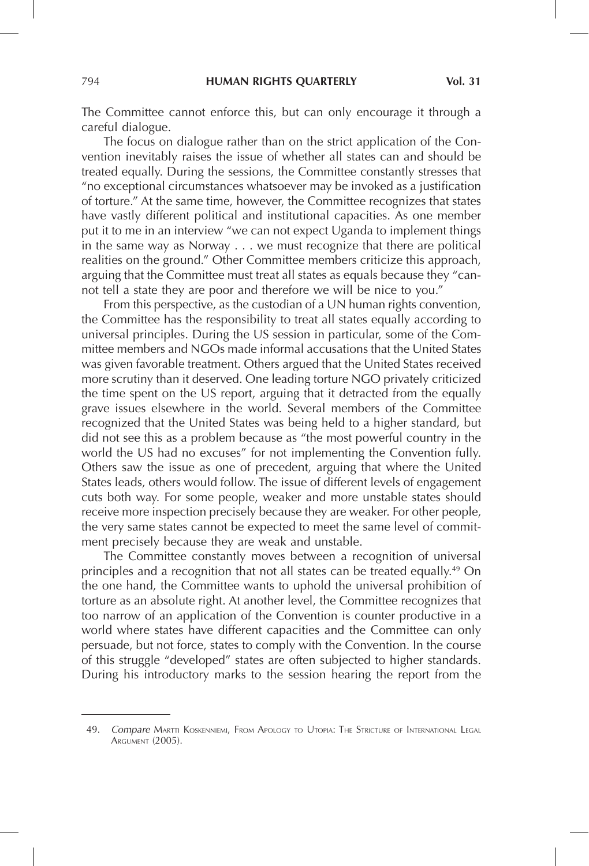The Committee cannot enforce this, but can only encourage it through a careful dialogue.

The focus on dialogue rather than on the strict application of the Convention inevitably raises the issue of whether all states can and should be treated equally. During the sessions, the Committee constantly stresses that "no exceptional circumstances whatsoever may be invoked as a justification of torture." At the same time, however, the Committee recognizes that states have vastly different political and institutional capacities. As one member put it to me in an interview "we can not expect Uganda to implement things in the same way as Norway . . . we must recognize that there are political realities on the ground." Other Committee members criticize this approach, arguing that the Committee must treat all states as equals because they "cannot tell a state they are poor and therefore we will be nice to you."

From this perspective, as the custodian of a UN human rights convention, the Committee has the responsibility to treat all states equally according to universal principles. During the US session in particular, some of the Committee members and NGOs made informal accusations that the United States was given favorable treatment. Others argued that the United States received more scrutiny than it deserved. One leading torture NGO privately criticized the time spent on the US report, arguing that it detracted from the equally grave issues elsewhere in the world. Several members of the Committee recognized that the United States was being held to a higher standard, but did not see this as a problem because as "the most powerful country in the world the US had no excuses" for not implementing the Convention fully. Others saw the issue as one of precedent, arguing that where the United States leads, others would follow. The issue of different levels of engagement cuts both way. For some people, weaker and more unstable states should receive more inspection precisely because they are weaker. For other people, the very same states cannot be expected to meet the same level of commitment precisely because they are weak and unstable.

The Committee constantly moves between a recognition of universal principles and a recognition that not all states can be treated equally.49 On the one hand, the Committee wants to uphold the universal prohibition of torture as an absolute right. At another level, the Committee recognizes that too narrow of an application of the Convention is counter productive in a world where states have different capacities and the Committee can only persuade, but not force, states to comply with the Convention. In the course of this struggle "developed" states are often subjected to higher standards. During his introductory marks to the session hearing the report from the

<sup>49.</sup> *Compare* Martti Koskenniemi, From Apology to Utopia: The Stricture of International Legal Argument (2005).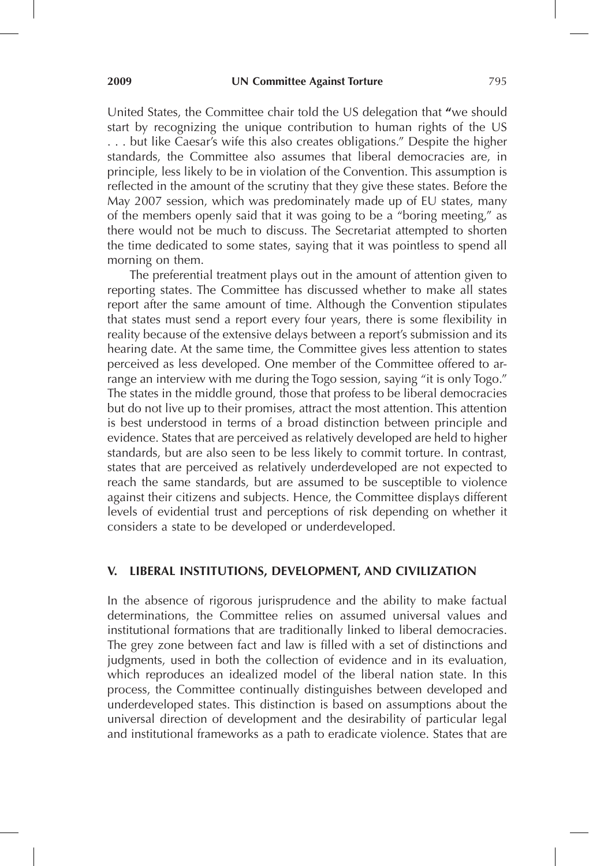United States, the Committee chair told the US delegation that **"**we should start by recognizing the unique contribution to human rights of the US . . . but like Caesar's wife this also creates obligations." Despite the higher standards, the Committee also assumes that liberal democracies are, in principle, less likely to be in violation of the Convention. This assumption is reflected in the amount of the scrutiny that they give these states. Before the May 2007 session, which was predominately made up of EU states, many of the members openly said that it was going to be a "boring meeting," as there would not be much to discuss. The Secretariat attempted to shorten the time dedicated to some states, saying that it was pointless to spend all morning on them.

The preferential treatment plays out in the amount of attention given to reporting states. The Committee has discussed whether to make all states report after the same amount of time. Although the Convention stipulates that states must send a report every four years, there is some flexibility in reality because of the extensive delays between a report's submission and its hearing date. At the same time, the Committee gives less attention to states perceived as less developed. One member of the Committee offered to arrange an interview with me during the Togo session, saying "it is only Togo." The states in the middle ground, those that profess to be liberal democracies but do not live up to their promises, attract the most attention. This attention is best understood in terms of a broad distinction between principle and evidence. States that are perceived as relatively developed are held to higher standards, but are also seen to be less likely to commit torture. In contrast, states that are perceived as relatively underdeveloped are not expected to reach the same standards, but are assumed to be susceptible to violence against their citizens and subjects. Hence, the Committee displays different levels of evidential trust and perceptions of risk depending on whether it considers a state to be developed or underdeveloped.

#### **v. Liberal Institutions, Development, and Civilization**

In the absence of rigorous jurisprudence and the ability to make factual determinations, the Committee relies on assumed universal values and institutional formations that are traditionally linked to liberal democracies. The grey zone between fact and law is filled with a set of distinctions and judgments, used in both the collection of evidence and in its evaluation, which reproduces an idealized model of the liberal nation state. In this process, the Committee continually distinguishes between developed and underdeveloped states. This distinction is based on assumptions about the universal direction of development and the desirability of particular legal and institutional frameworks as a path to eradicate violence. States that are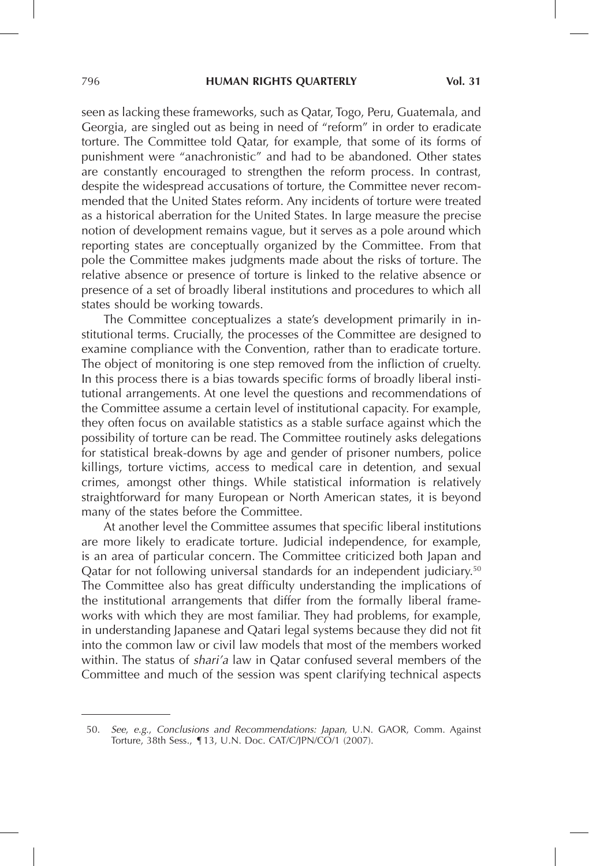seen as lacking these frameworks, such as Qatar, Togo, Peru, Guatemala, and Georgia, are singled out as being in need of "reform" in order to eradicate torture. The Committee told Qatar, for example, that some of its forms of punishment were "anachronistic" and had to be abandoned. Other states are constantly encouraged to strengthen the reform process. In contrast, despite the widespread accusations of torture, the Committee never recommended that the United States reform. Any incidents of torture were treated as a historical aberration for the United States. In large measure the precise notion of development remains vague, but it serves as a pole around which reporting states are conceptually organized by the Committee. From that pole the Committee makes judgments made about the risks of torture. The relative absence or presence of torture is linked to the relative absence or presence of a set of broadly liberal institutions and procedures to which all states should be working towards.

The Committee conceptualizes a state's development primarily in institutional terms. Crucially, the processes of the Committee are designed to examine compliance with the Convention, rather than to eradicate torture. The object of monitoring is one step removed from the infliction of cruelty. In this process there is a bias towards specific forms of broadly liberal institutional arrangements. At one level the questions and recommendations of the Committee assume a certain level of institutional capacity. For example, they often focus on available statistics as a stable surface against which the possibility of torture can be read. The Committee routinely asks delegations for statistical break-downs by age and gender of prisoner numbers, police killings, torture victims, access to medical care in detention, and sexual crimes, amongst other things. While statistical information is relatively straightforward for many European or North American states, it is beyond many of the states before the Committee.

At another level the Committee assumes that specific liberal institutions are more likely to eradicate torture. Judicial independence, for example, is an area of particular concern. The Committee criticized both Japan and Qatar for not following universal standards for an independent judiciary.50 The Committee also has great difficulty understanding the implications of the institutional arrangements that differ from the formally liberal frameworks with which they are most familiar. They had problems, for example, in understanding Japanese and Qatari legal systems because they did not fit into the common law or civil law models that most of the members worked within. The status of *shari'a* law in Qatar confused several members of the Committee and much of the session was spent clarifying technical aspects

<sup>50.</sup> *See*, *e.g*., *Conclusions and Recommendations: Japan*, U.N. GAOR, Comm. Against Torture, 38th Sess., ¶13, U.N. Doc. CAT/C/JPN/CO/1 (2007).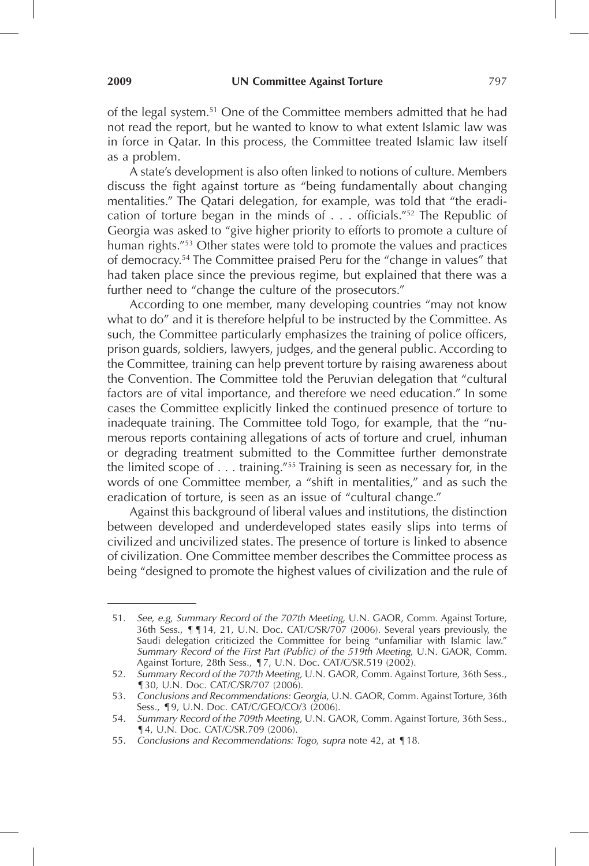of the legal system.51 One of the Committee members admitted that he had not read the report, but he wanted to know to what extent Islamic law was in force in Qatar. In this process, the Committee treated Islamic law itself as a problem.

A state's development is also often linked to notions of culture. Members discuss the fight against torture as "being fundamentally about changing mentalities." The Qatari delegation, for example, was told that "the eradication of torture began in the minds of . . . officials."52 The Republic of Georgia was asked to "give higher priority to efforts to promote a culture of human rights.<sup>"53</sup> Other states were told to promote the values and practices of democracy.54 The Committee praised Peru for the "change in values" that had taken place since the previous regime, but explained that there was a further need to "change the culture of the prosecutors."

According to one member, many developing countries "may not know what to do" and it is therefore helpful to be instructed by the Committee. As such, the Committee particularly emphasizes the training of police officers, prison guards, soldiers, lawyers, judges, and the general public. According to the Committee, training can help prevent torture by raising awareness about the Convention. The Committee told the Peruvian delegation that "cultural factors are of vital importance, and therefore we need education." In some cases the Committee explicitly linked the continued presence of torture to inadequate training. The Committee told Togo, for example, that the "numerous reports containing allegations of acts of torture and cruel, inhuman or degrading treatment submitted to the Committee further demonstrate the limited scope of  $\dots$  training."<sup>55</sup> Training is seen as necessary for, in the words of one Committee member, a "shift in mentalities," and as such the eradication of torture, is seen as an issue of "cultural change."

Against this background of liberal values and institutions, the distinction between developed and underdeveloped states easily slips into terms of civilized and uncivilized states. The presence of torture is linked to absence of civilization. One Committee member describes the Committee process as being "designed to promote the highest values of civilization and the rule of

<sup>51.</sup> *See*, *e.g*, *Summary Record of the 707th Meeting*, U.N. GAOR, Comm. Against Torture, 36th Sess., ¶¶14, 21, U.N. Doc. CAT/C/SR/707 (2006). Several years previously, the Saudi delegation criticized the Committee for being "unfamiliar with Islamic law." *Summary Record of the First Part (Public) of the 519th Meeting*, U.N. GAOR, Comm. Against Torture, 28th Sess., ¶7, U.N. Doc. CAT/C/SR.519 (2002).

<sup>52.</sup> *Summary Record of the 707th Meeting*, U.N. GAOR, Comm. Against Torture, 36th Sess., ¶30, U.N. Doc. CAT/C/SR/707 (2006).

<sup>53.</sup> *Conclusions and Recommendations: Georgia*, U.N. GAOR, Comm. Against Torture, 36th Sess., ¶9, U.N. Doc. CAT/C/GEO/CO/3 (2006).

<sup>54.</sup> *Summary Record of the 709th Meeting*, U.N. GAOR, Comm. Against Torture, 36th Sess., ¶4, U.N. Doc. CAT/C/SR.709 (2006).

<sup>55.</sup> *Conclusions and Recommendations: Togo*, *supra* note 42, at ¶18.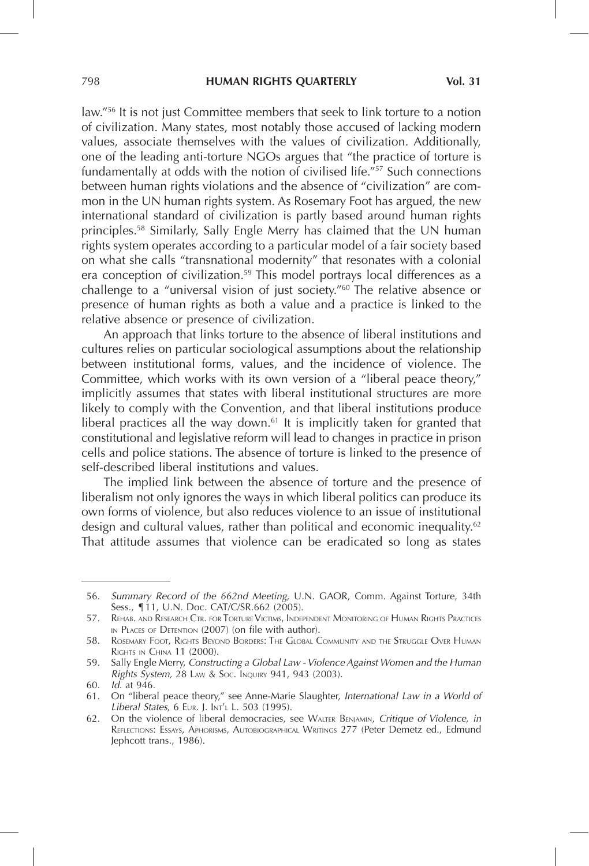law."56 It is not just Committee members that seek to link torture to a notion of civilization. Many states, most notably those accused of lacking modern values, associate themselves with the values of civilization. Additionally, one of the leading anti-torture NGOs argues that "the practice of torture is fundamentally at odds with the notion of civilised life."57 Such connections between human rights violations and the absence of "civilization" are common in the UN human rights system. As Rosemary Foot has argued, the new international standard of civilization is partly based around human rights principles.58 Similarly, Sally Engle Merry has claimed that the UN human rights system operates according to a particular model of a fair society based on what she calls "transnational modernity" that resonates with a colonial era conception of civilization.59 This model portrays local differences as a challenge to a "universal vision of just society."60 The relative absence or presence of human rights as both a value and a practice is linked to the relative absence or presence of civilization.

An approach that links torture to the absence of liberal institutions and cultures relies on particular sociological assumptions about the relationship between institutional forms, values, and the incidence of violence. The Committee, which works with its own version of a "liberal peace theory," implicitly assumes that states with liberal institutional structures are more likely to comply with the Convention, and that liberal institutions produce liberal practices all the way down.<sup>61</sup> It is implicitly taken for granted that constitutional and legislative reform will lead to changes in practice in prison cells and police stations. The absence of torture is linked to the presence of self-described liberal institutions and values.

The implied link between the absence of torture and the presence of liberalism not only ignores the ways in which liberal politics can produce its own forms of violence, but also reduces violence to an issue of institutional design and cultural values, rather than political and economic inequality.62 That attitude assumes that violence can be eradicated so long as states

<sup>56.</sup> *Summary Record of the 662nd Meeting*, U.N. GAOR, Comm. Against Torture, 34th Sess., 11, U.N. Doc. CAT/C/SR.662 (2005).

<sup>57.</sup> Rehab. and Research Ctr. for Torture Victims, Independent Monitoring of Human Rights Practices in Places of Detention (2007) (on file with author).

<sup>58.</sup> Rosemary Foot, Rights Beyond Borders: The Global Community and the Struggle Over Human Rights in China 11 (2000).

<sup>59.</sup> Sally Engle Merry, *Constructing a Global Law - Violence Against Women and the Human Rights System,* 28 Law & Soc. Inquiry 941, 943 (2003).

<sup>60.</sup> *Id.* at 946.

<sup>61.</sup> On "liberal peace theory," see Anne-Marie Slaughter, *International Law in a World of Liberal States*, 6 Eur. J. Int'l L. 503 (1995).

<sup>62.</sup> On the violence of liberal democracies, see Walter Benjamin, *Critique of Violence*, *in*  Reflections: Essays, Aphorisms, Autobiographical Writings 277 (Peter Demetz ed., Edmund Jephcott trans., 1986).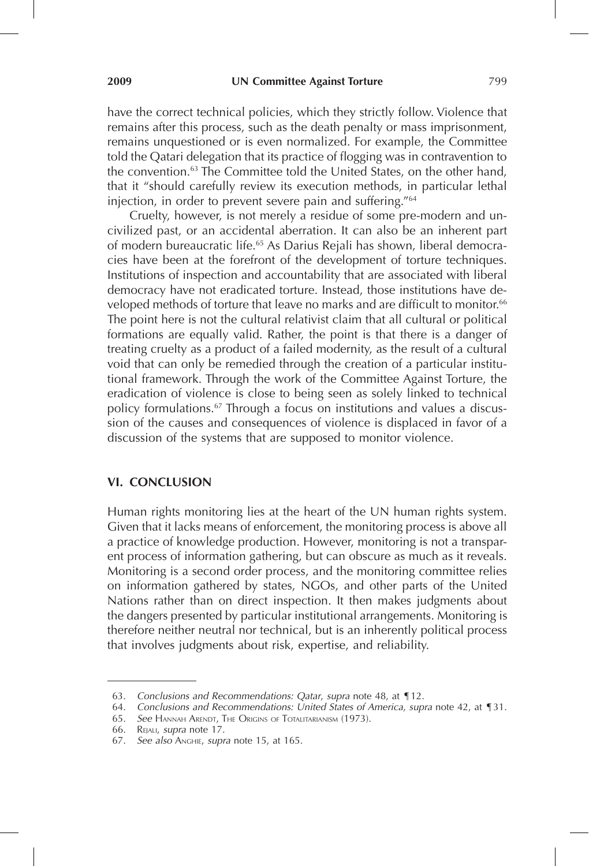#### **2009 UN Committee Against Torture** 799

have the correct technical policies, which they strictly follow. Violence that remains after this process, such as the death penalty or mass imprisonment, remains unquestioned or is even normalized. For example, the Committee told the Qatari delegation that its practice of flogging was in contravention to the convention.<sup>63</sup> The Committee told the United States, on the other hand, that it "should carefully review its execution methods, in particular lethal injection, in order to prevent severe pain and suffering."64

Cruelty, however, is not merely a residue of some pre-modern and uncivilized past, or an accidental aberration. It can also be an inherent part of modern bureaucratic life.65 As Darius Rejali has shown, liberal democracies have been at the forefront of the development of torture techniques. Institutions of inspection and accountability that are associated with liberal democracy have not eradicated torture. Instead, those institutions have developed methods of torture that leave no marks and are difficult to monitor.<sup>66</sup> The point here is not the cultural relativist claim that all cultural or political formations are equally valid. Rather, the point is that there is a danger of treating cruelty as a product of a failed modernity, as the result of a cultural void that can only be remedied through the creation of a particular institutional framework. Through the work of the Committee Against Torture, the eradication of violence is close to being seen as solely linked to technical policy formulations.<sup>67</sup> Through a focus on institutions and values a discussion of the causes and consequences of violence is displaced in favor of a discussion of the systems that are supposed to monitor violence.

#### **vi. Conclusion**

Human rights monitoring lies at the heart of the UN human rights system. Given that it lacks means of enforcement, the monitoring process is above all a practice of knowledge production. However, monitoring is not a transparent process of information gathering, but can obscure as much as it reveals. Monitoring is a second order process, and the monitoring committee relies on information gathered by states, NGOs, and other parts of the United Nations rather than on direct inspection. It then makes judgments about the dangers presented by particular institutional arrangements. Monitoring is therefore neither neutral nor technical, but is an inherently political process that involves judgments about risk, expertise, and reliability.

<sup>63.</sup> *Conclusions and Recommendations: Qatar*, *supra* note 48, at ¶12.

<sup>64.</sup> *Conclusions and Recommendations: United States of America*, *supra* note 42, at ¶31.

<sup>65.</sup> *See* Hannah Arendt, The Origins of Totalitarianism (1973).

<sup>66.</sup> Rejali, *supra* note 17.

<sup>67.</sup> *See also* Anghie, *supra* note 15, at 165.